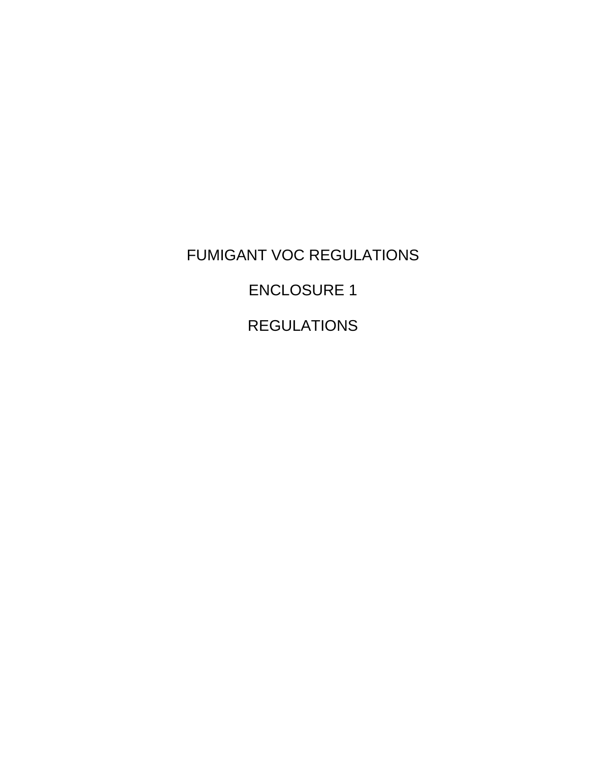FUMIGANT VOC REGULATIONS ENCLOSURE 1 REGULATIONS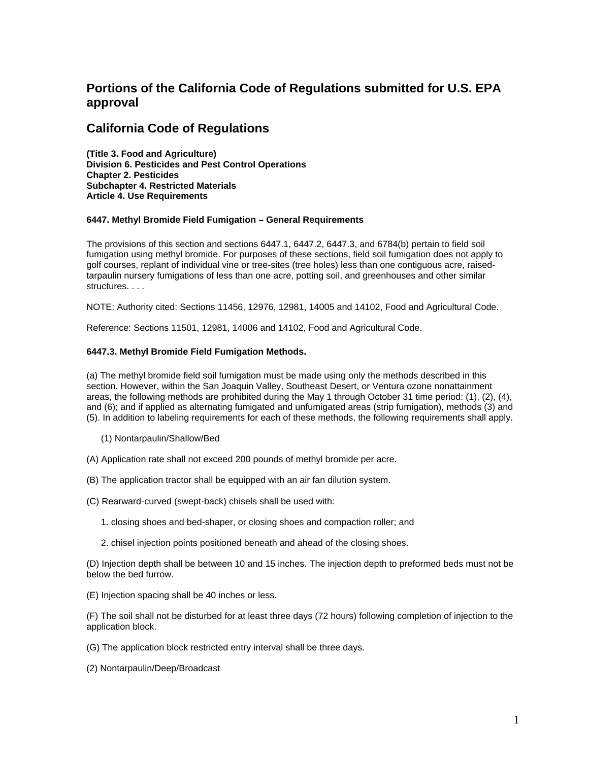# **Portions of the California Code of Regulations submitted for U.S. EPA approval**

## **California Code of Regulations**

**(Title 3. Food and Agriculture) Division 6. Pesticides and Pest Control Operations Chapter 2. Pesticides Subchapter 4. Restricted Materials Article 4. Use Requirements** 

## **6447. Methyl Bromide Field Fumigation – General Requirements**

The provisions of this section and sections 6447.1, 6447.2, 6447.3, and 6784(b) pertain to field soil fumigation using methyl bromide. For purposes of these sections, field soil fumigation does not apply to golf courses, replant of individual vine or tree-sites (tree holes) less than one contiguous acre, raisedtarpaulin nursery fumigations of less than one acre, potting soil, and greenhouses and other similar structures. . . .

NOTE: Authority cited: Sections 11456, 12976, 12981, 14005 and 14102, Food and Agricultural Code.

Reference: Sections 11501, 12981, 14006 and 14102, Food and Agricultural Code.

## **6447.3. Methyl Bromide Field Fumigation Methods.**

(a) The methyl bromide field soil fumigation must be made using only the methods described in this section. However, within the San Joaquin Valley, Southeast Desert, or Ventura ozone nonattainment areas, the following methods are prohibited during the May 1 through October 31 time period: (1), (2), (4), and (6); and if applied as alternating fumigated and unfumigated areas (strip fumigation), methods (3) and (5). In addition to labeling requirements for each of these methods, the following requirements shall apply.

- (1) Nontarpaulin/Shallow/Bed
- (A) Application rate shall not exceed 200 pounds of methyl bromide per acre.
- (B) The application tractor shall be equipped with an air fan dilution system.
- (C) Rearward-curved (swept-back) chisels shall be used with:
	- 1. closing shoes and bed-shaper, or closing shoes and compaction roller; and
	- 2. chisel injection points positioned beneath and ahead of the closing shoes.

(D) Injection depth shall be between 10 and 15 inches. The injection depth to preformed beds must not be below the bed furrow.

(E) Injection spacing shall be 40 inches or less.

(F) The soil shall not be disturbed for at least three days (72 hours) following completion of injection to the application block.

(G) The application block restricted entry interval shall be three days.

(2) Nontarpaulin/Deep/Broadcast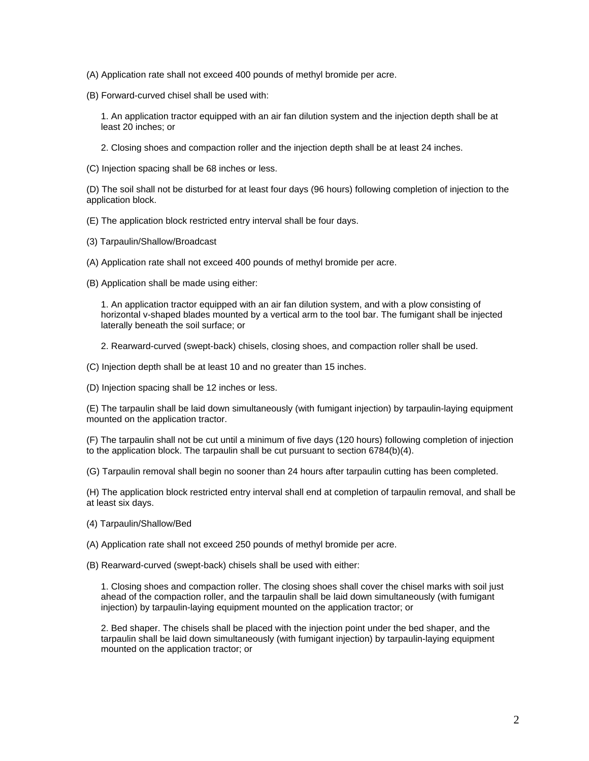- (A) Application rate shall not exceed 400 pounds of methyl bromide per acre.
- (B) Forward-curved chisel shall be used with:

1. An application tractor equipped with an air fan dilution system and the injection depth shall be at least 20 inches; or

2. Closing shoes and compaction roller and the injection depth shall be at least 24 inches.

(C) Injection spacing shall be 68 inches or less.

(D) The soil shall not be disturbed for at least four days (96 hours) following completion of injection to the application block.

- (E) The application block restricted entry interval shall be four days.
- (3) Tarpaulin/Shallow/Broadcast
- (A) Application rate shall not exceed 400 pounds of methyl bromide per acre.
- (B) Application shall be made using either:

1. An application tractor equipped with an air fan dilution system, and with a plow consisting of horizontal v-shaped blades mounted by a vertical arm to the tool bar. The fumigant shall be injected laterally beneath the soil surface; or

- 2. Rearward-curved (swept-back) chisels, closing shoes, and compaction roller shall be used.
- (C) Injection depth shall be at least 10 and no greater than 15 inches.
- (D) Injection spacing shall be 12 inches or less.

(E) The tarpaulin shall be laid down simultaneously (with fumigant injection) by tarpaulin-laying equipment mounted on the application tractor.

(F) The tarpaulin shall not be cut until a minimum of five days (120 hours) following completion of injection to the application block. The tarpaulin shall be cut pursuant to section 6784(b)(4).

(G) Tarpaulin removal shall begin no sooner than 24 hours after tarpaulin cutting has been completed.

(H) The application block restricted entry interval shall end at completion of tarpaulin removal, and shall be at least six days.

- (4) Tarpaulin/Shallow/Bed
- (A) Application rate shall not exceed 250 pounds of methyl bromide per acre.
- (B) Rearward-curved (swept-back) chisels shall be used with either:

1. Closing shoes and compaction roller. The closing shoes shall cover the chisel marks with soil just ahead of the compaction roller, and the tarpaulin shall be laid down simultaneously (with fumigant injection) by tarpaulin-laying equipment mounted on the application tractor; or

2. Bed shaper. The chisels shall be placed with the injection point under the bed shaper, and the tarpaulin shall be laid down simultaneously (with fumigant injection) by tarpaulin-laying equipment mounted on the application tractor; or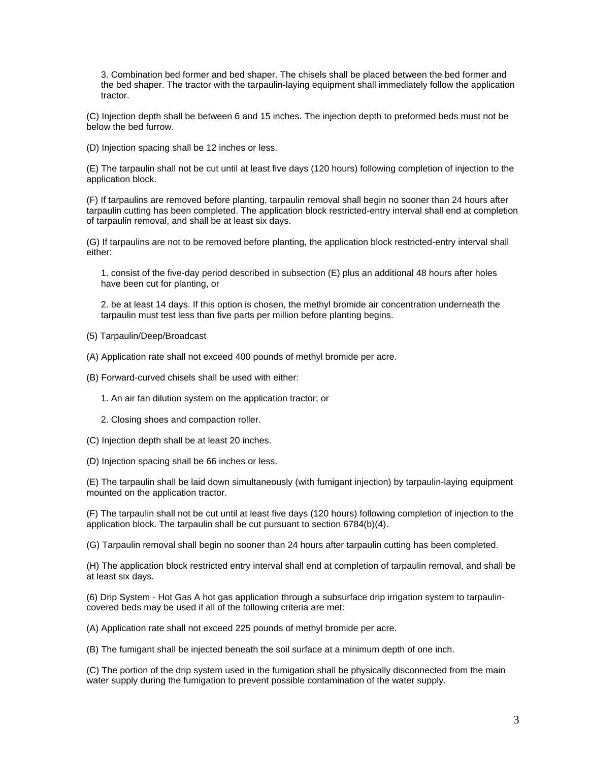3. Combination bed former and bed shaper. The chisels shall be placed between the bed former and the bed shaper. The tractor with the tarpaulin-laying equipment shall immediately follow the application tractor.

(C) Injection depth shall be between 6 and 15 inches. The injection depth to preformed beds must not be below the bed furrow.

(D) Injection spacing shall be 12 inches or less.

(E) The tarpaulin shall not be cut until at least five days (120 hours) following completion of injection to the application block.

(F) If tarpaulins are removed before planting, tarpaulin removal shall begin no sooner than 24 hours after tarpaulin cutting has been completed. The application block restricted-entry interval shall end at completion of tarpaulin removal, and shall be at least six days.

(G) If tarpaulins are not to be removed before planting, the application block restricted-entry interval shall either:

1. consist of the five-day period described in subsection (E) plus an additional 48 hours after holes have been cut for planting, or

2. be at least 14 days. If this option is chosen, the methyl bromide air concentration underneath the tarpaulin must test less than five parts per million before planting begins.

- (5) Tarpaulin/Deep/Broadcast
- (A) Application rate shall not exceed 400 pounds of methyl bromide per acre.
- (B) Forward-curved chisels shall be used with either:
	- 1. An air fan dilution system on the application tractor; or
	- 2. Closing shoes and compaction roller.
- (C) Injection depth shall be at least 20 inches.
- (D) Injection spacing shall be 66 inches or less.

(E) The tarpaulin shall be laid down simultaneously (with fumigant injection) by tarpaulin-laying equipment mounted on the application tractor.

(F) The tarpaulin shall not be cut until at least five days (120 hours) following completion of injection to the application block. The tarpaulin shall be cut pursuant to section 6784(b)(4).

(G) Tarpaulin removal shall begin no sooner than 24 hours after tarpaulin cutting has been completed.

(H) The application block restricted entry interval shall end at completion of tarpaulin removal, and shall be at least six days.

(6) Drip System - Hot Gas A hot gas application through a subsurface drip irrigation system to tarpaulincovered beds may be used if all of the following criteria are met:

(A) Application rate shall not exceed 225 pounds of methyl bromide per acre.

(B) The fumigant shall be injected beneath the soil surface at a minimum depth of one inch.

(C) The portion of the drip system used in the fumigation shall be physically disconnected from the main water supply during the fumigation to prevent possible contamination of the water supply.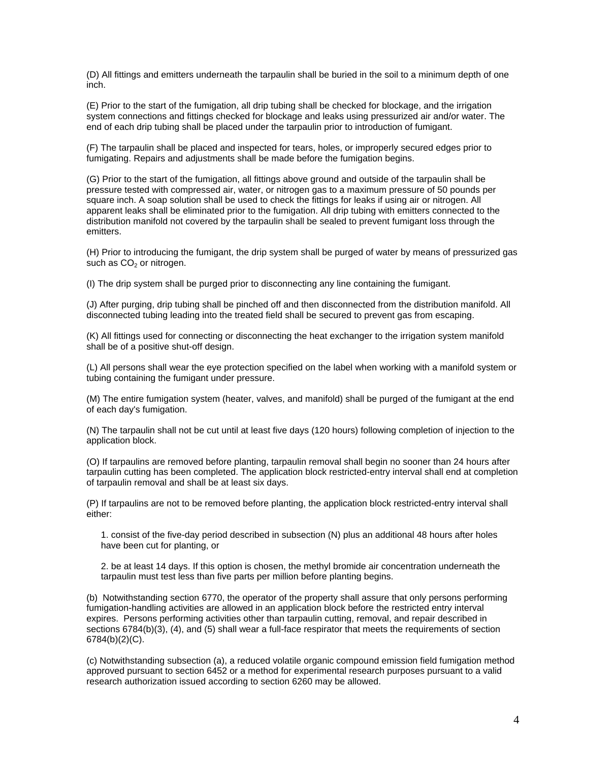(D) All fittings and emitters underneath the tarpaulin shall be buried in the soil to a minimum depth of one inch.

(E) Prior to the start of the fumigation, all drip tubing shall be checked for blockage, and the irrigation system connections and fittings checked for blockage and leaks using pressurized air and/or water. The end of each drip tubing shall be placed under the tarpaulin prior to introduction of fumigant.

(F) The tarpaulin shall be placed and inspected for tears, holes, or improperly secured edges prior to fumigating. Repairs and adjustments shall be made before the fumigation begins.

(G) Prior to the start of the fumigation, all fittings above ground and outside of the tarpaulin shall be pressure tested with compressed air, water, or nitrogen gas to a maximum pressure of 50 pounds per square inch. A soap solution shall be used to check the fittings for leaks if using air or nitrogen. All apparent leaks shall be eliminated prior to the fumigation. All drip tubing with emitters connected to the distribution manifold not covered by the tarpaulin shall be sealed to prevent fumigant loss through the emitters.

(H) Prior to introducing the fumigant, the drip system shall be purged of water by means of pressurized gas such as  $CO<sub>2</sub>$  or nitrogen.

(I) The drip system shall be purged prior to disconnecting any line containing the fumigant.

(J) After purging, drip tubing shall be pinched off and then disconnected from the distribution manifold. All disconnected tubing leading into the treated field shall be secured to prevent gas from escaping.

(K) All fittings used for connecting or disconnecting the heat exchanger to the irrigation system manifold shall be of a positive shut-off design.

(L) All persons shall wear the eye protection specified on the label when working with a manifold system or tubing containing the fumigant under pressure.

(M) The entire fumigation system (heater, valves, and manifold) shall be purged of the fumigant at the end of each day's fumigation.

(N) The tarpaulin shall not be cut until at least five days (120 hours) following completion of injection to the application block.

(O) If tarpaulins are removed before planting, tarpaulin removal shall begin no sooner than 24 hours after tarpaulin cutting has been completed. The application block restricted-entry interval shall end at completion of tarpaulin removal and shall be at least six days.

(P) If tarpaulins are not to be removed before planting, the application block restricted-entry interval shall either:

1. consist of the five-day period described in subsection (N) plus an additional 48 hours after holes have been cut for planting, or

2. be at least 14 days. If this option is chosen, the methyl bromide air concentration underneath the tarpaulin must test less than five parts per million before planting begins.

(b) Notwithstanding section 6770, the operator of the property shall assure that only persons performing fumigation-handling activities are allowed in an application block before the restricted entry interval expires. Persons performing activities other than tarpaulin cutting, removal, and repair described in sections 6784(b)(3), (4), and (5) shall wear a full-face respirator that meets the requirements of section 6784(b)(2)(C).

(c) Notwithstanding subsection (a), a reduced volatile organic compound emission field fumigation method approved pursuant to section 6452 or a method for experimental research purposes pursuant to a valid research authorization issued according to section 6260 may be allowed.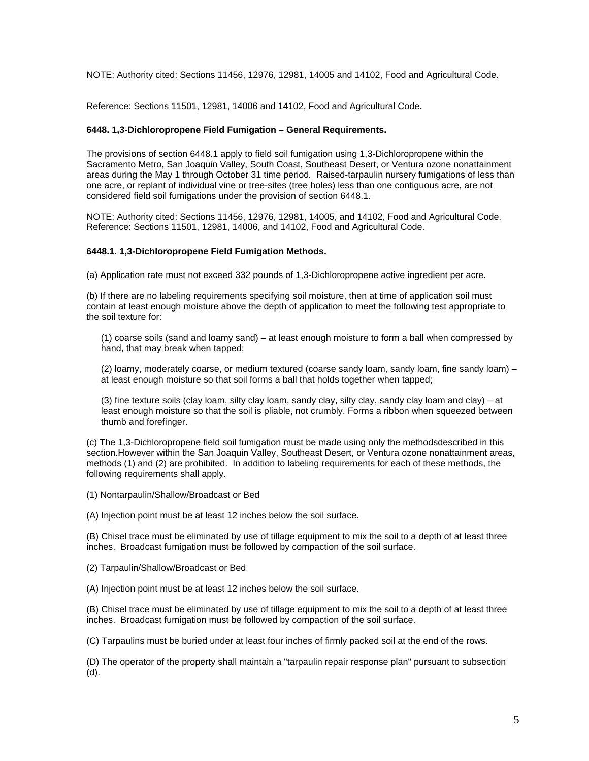NOTE: Authority cited: Sections 11456, 12976, 12981, 14005 and 14102, Food and Agricultural Code.

Reference: Sections 11501, 12981, 14006 and 14102, Food and Agricultural Code.

## **6448. 1,3-Dichloropropene Field Fumigation – General Requirements.**

The provisions of section 6448.1 apply to field soil fumigation using 1,3-Dichloropropene within the Sacramento Metro, San Joaquin Valley, South Coast, Southeast Desert, or Ventura ozone nonattainment areas during the May 1 through October 31 time period*.* Raised-tarpaulin nursery fumigations of less than one acre, or replant of individual vine or tree-sites (tree holes) less than one contiguous acre, are not considered field soil fumigations under the provision of section 6448.1.

NOTE: Authority cited: Sections 11456, 12976, 12981, 14005, and 14102, Food and Agricultural Code. Reference: Sections 11501, 12981, 14006, and 14102, Food and Agricultural Code.

## **6448.1. 1,3-Dichloropropene Field Fumigation Methods.**

(a) Application rate must not exceed 332 pounds of 1,3-Dichloropropene active ingredient per acre.

(b) If there are no labeling requirements specifying soil moisture, then at time of application soil must contain at least enough moisture above the depth of application to meet the following test appropriate to the soil texture for:

(1) coarse soils (sand and loamy sand) – at least enough moisture to form a ball when compressed by hand, that may break when tapped;

(2) loamy, moderately coarse, or medium textured (coarse sandy loam, sandy loam, fine sandy loam) – at least enough moisture so that soil forms a ball that holds together when tapped;

(3) fine texture soils (clay loam, silty clay loam, sandy clay, silty clay, sandy clay loam and clay) – at least enough moisture so that the soil is pliable, not crumbly. Forms a ribbon when squeezed between thumb and forefinger.

(c) The 1,3-Dichloropropene field soil fumigation must be made using only the methodsdescribed in this section.However within the San Joaquin Valley, Southeast Desert, or Ventura ozone nonattainment areas, methods (1) and (2) are prohibited. In addition to labeling requirements for each of these methods, the following requirements shall apply.

(1) Nontarpaulin/Shallow/Broadcast or Bed

(A) Injection point must be at least 12 inches below the soil surface.

(B) Chisel trace must be eliminated by use of tillage equipment to mix the soil to a depth of at least three inches. Broadcast fumigation must be followed by compaction of the soil surface.

(2) Tarpaulin/Shallow/Broadcast or Bed

(A) Injection point must be at least 12 inches below the soil surface.

(B) Chisel trace must be eliminated by use of tillage equipment to mix the soil to a depth of at least three inches. Broadcast fumigation must be followed by compaction of the soil surface.

(C) Tarpaulins must be buried under at least four inches of firmly packed soil at the end of the rows.

(D) The operator of the property shall maintain a "tarpaulin repair response plan" pursuant to subsection (d).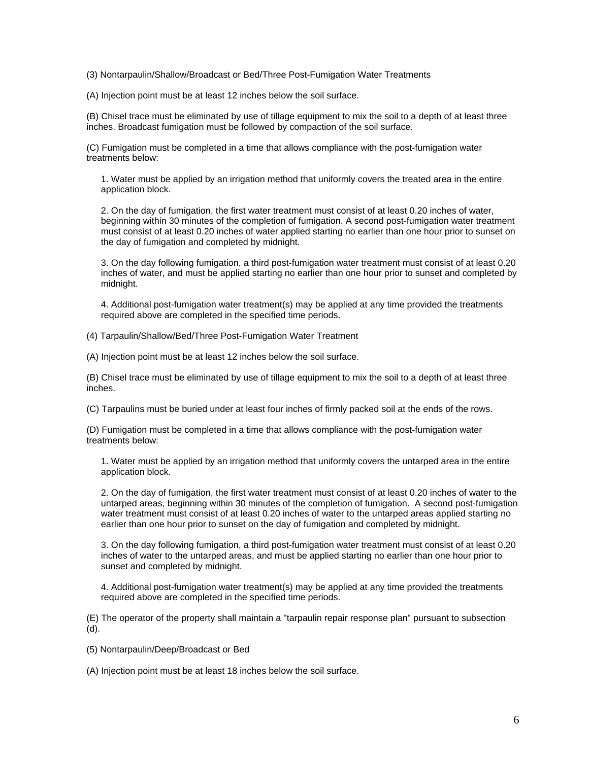(3) Nontarpaulin/Shallow/Broadcast or Bed/Three Post-Fumigation Water Treatments

(A) Injection point must be at least 12 inches below the soil surface.

(B) Chisel trace must be eliminated by use of tillage equipment to mix the soil to a depth of at least three inches. Broadcast fumigation must be followed by compaction of the soil surface.

(C) Fumigation must be completed in a time that allows compliance with the post-fumigation water treatments below:

1. Water must be applied by an irrigation method that uniformly covers the treated area in the entire application block.

2. On the day of fumigation, the first water treatment must consist of at least 0.20 inches of water, beginning within 30 minutes of the completion of fumigation. A second post-fumigation water treatment must consist of at least 0.20 inches of water applied starting no earlier than one hour prior to sunset on the day of fumigation and completed by midnight.

3. On the day following fumigation, a third post-fumigation water treatment must consist of at least 0.20 inches of water, and must be applied starting no earlier than one hour prior to sunset and completed by midnight.

4. Additional post-fumigation water treatment(s) may be applied at any time provided the treatments required above are completed in the specified time periods.

(4) Tarpaulin/Shallow/Bed/Three Post-Fumigation Water Treatment

(A) Injection point must be at least 12 inches below the soil surface.

(B) Chisel trace must be eliminated by use of tillage equipment to mix the soil to a depth of at least three inches.

(C) Tarpaulins must be buried under at least four inches of firmly packed soil at the ends of the rows.

(D) Fumigation must be completed in a time that allows compliance with the post-fumigation water treatments below:

1. Water must be applied by an irrigation method that uniformly covers the untarped area in the entire application block.

2. On the day of fumigation, the first water treatment must consist of at least 0.20 inches of water to the untarped areas, beginning within 30 minutes of the completion of fumigation. A second post-fumigation water treatment must consist of at least 0.20 inches of water to the untarped areas applied starting no earlier than one hour prior to sunset on the day of fumigation and completed by midnight.

3. On the day following fumigation, a third post-fumigation water treatment must consist of at least 0.20 inches of water to the untarped areas, and must be applied starting no earlier than one hour prior to sunset and completed by midnight.

4. Additional post-fumigation water treatment(s) may be applied at any time provided the treatments required above are completed in the specified time periods.

(E) The operator of the property shall maintain a "tarpaulin repair response plan" pursuant to subsection (d).

(5) Nontarpaulin/Deep/Broadcast or Bed

(A) Injection point must be at least 18 inches below the soil surface.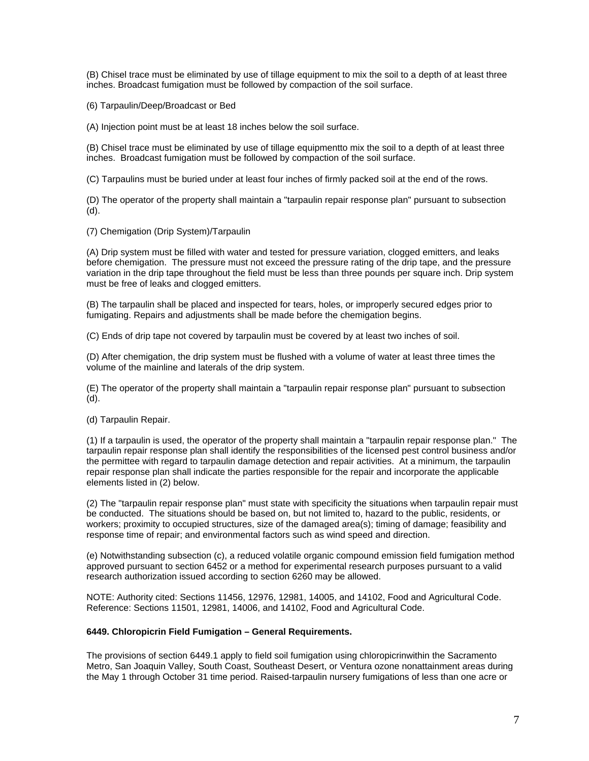(B) Chisel trace must be eliminated by use of tillage equipment to mix the soil to a depth of at least three inches. Broadcast fumigation must be followed by compaction of the soil surface.

(6) Tarpaulin/Deep/Broadcast or Bed

(A) Injection point must be at least 18 inches below the soil surface.

(B) Chisel trace must be eliminated by use of tillage equipmentto mix the soil to a depth of at least three inches. Broadcast fumigation must be followed by compaction of the soil surface.

(C) Tarpaulins must be buried under at least four inches of firmly packed soil at the end of the rows.

(D) The operator of the property shall maintain a "tarpaulin repair response plan" pursuant to subsection (d).

(7) Chemigation (Drip System)/Tarpaulin

(A) Drip system must be filled with water and tested for pressure variation, clogged emitters, and leaks before chemigation. The pressure must not exceed the pressure rating of the drip tape, and the pressure variation in the drip tape throughout the field must be less than three pounds per square inch. Drip system must be free of leaks and clogged emitters.

(B) The tarpaulin shall be placed and inspected for tears, holes, or improperly secured edges prior to fumigating. Repairs and adjustments shall be made before the chemigation begins.

(C) Ends of drip tape not covered by tarpaulin must be covered by at least two inches of soil.

(D) After chemigation, the drip system must be flushed with a volume of water at least three times the volume of the mainline and laterals of the drip system.

(E) The operator of the property shall maintain a "tarpaulin repair response plan" pursuant to subsection (d).

(d) Tarpaulin Repair.

(1) If a tarpaulin is used, the operator of the property shall maintain a "tarpaulin repair response plan." The tarpaulin repair response plan shall identify the responsibilities of the licensed pest control business and/or the permittee with regard to tarpaulin damage detection and repair activities. At a minimum, the tarpaulin repair response plan shall indicate the parties responsible for the repair and incorporate the applicable elements listed in (2) below.

(2) The "tarpaulin repair response plan" must state with specificity the situations when tarpaulin repair must be conducted. The situations should be based on, but not limited to, hazard to the public, residents, or workers; proximity to occupied structures, size of the damaged area(s); timing of damage; feasibility and response time of repair; and environmental factors such as wind speed and direction.

(e) Notwithstanding subsection (c), a reduced volatile organic compound emission field fumigation method approved pursuant to section 6452 or a method for experimental research purposes pursuant to a valid research authorization issued according to section 6260 may be allowed.

NOTE: Authority cited: Sections 11456, 12976, 12981, 14005, and 14102, Food and Agricultural Code. Reference: Sections 11501, 12981, 14006, and 14102, Food and Agricultural Code.

## **6449. Chloropicrin Field Fumigation – General Requirements.**

The provisions of section 6449.1 apply to field soil fumigation using chloropicrinwithin the Sacramento Metro, San Joaquin Valley, South Coast, Southeast Desert, or Ventura ozone nonattainment areas during the May 1 through October 31 time period. Raised-tarpaulin nursery fumigations of less than one acre or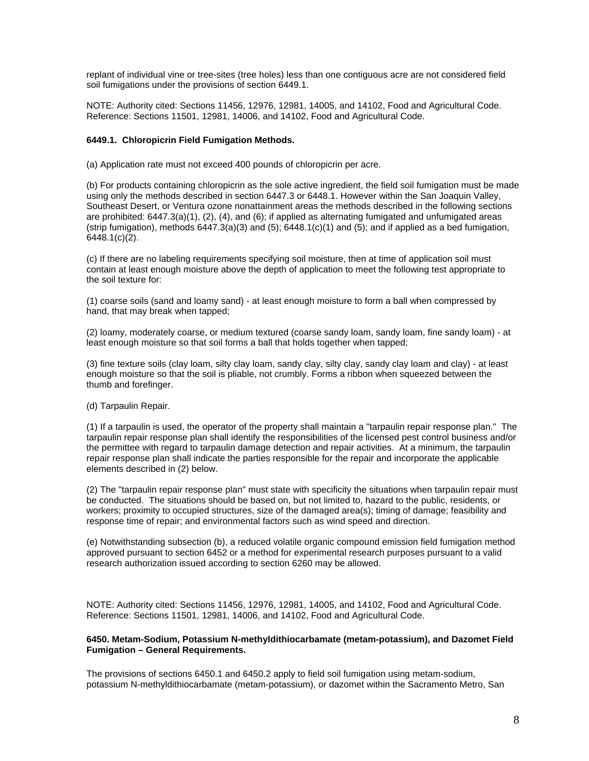replant of individual vine or tree-sites (tree holes) less than one contiguous acre are not considered field soil fumigations under the provisions of section 6449.1.

NOTE: Authority cited: Sections 11456, 12976, 12981, 14005, and 14102, Food and Agricultural Code. Reference: Sections 11501, 12981, 14006, and 14102, Food and Agricultural Code.

## **6449.1. Chloropicrin Field Fumigation Methods.**

(a) Application rate must not exceed 400 pounds of chloropicrin per acre.

(b) For products containing chloropicrin as the sole active ingredient, the field soil fumigation must be made using only the methods described in section 6447.3 or 6448.1. However within the San Joaquin Valley, Southeast Desert, or Ventura ozone nonattainment areas the methods described in the following sections are prohibited: 6447.3(a)(1), (2), (4), and (6); if applied as alternating fumigated and unfumigated areas (strip fumigation), methods  $6447.3(a)(3)$  and  $(5)$ ;  $6448.1(c)(1)$  and  $(5)$ ; and if applied as a bed fumigation,  $6448.1(c)(2)$ .

(c) If there are no labeling requirements specifying soil moisture, then at time of application soil must contain at least enough moisture above the depth of application to meet the following test appropriate to the soil texture for:

(1) coarse soils (sand and loamy sand) - at least enough moisture to form a ball when compressed by hand, that may break when tapped;

(2) loamy, moderately coarse, or medium textured (coarse sandy loam, sandy loam, fine sandy loam) - at least enough moisture so that soil forms a ball that holds together when tapped;

(3) fine texture soils (clay loam, silty clay loam, sandy clay, silty clay, sandy clay loam and clay) - at least enough moisture so that the soil is pliable, not crumbly. Forms a ribbon when squeezed between the thumb and forefinger.

(d) Tarpaulin Repair.

(1) If a tarpaulin is used, the operator of the property shall maintain a "tarpaulin repair response plan." The tarpaulin repair response plan shall identify the responsibilities of the licensed pest control business and/or the permittee with regard to tarpaulin damage detection and repair activities. At a minimum, the tarpaulin repair response plan shall indicate the parties responsible for the repair and incorporate the applicable elements described in (2) below.

(2) The "tarpaulin repair response plan" must state with specificity the situations when tarpaulin repair must be conducted. The situations should be based on, but not limited to, hazard to the public, residents, or workers; proximity to occupied structures, size of the damaged area(s); timing of damage; feasibility and response time of repair; and environmental factors such as wind speed and direction.

(e) Notwithstanding subsection (b), a reduced volatile organic compound emission field fumigation method approved pursuant to section 6452 or a method for experimental research purposes pursuant to a valid research authorization issued according to section 6260 may be allowed.

NOTE: Authority cited: Sections 11456, 12976, 12981, 14005, and 14102, Food and Agricultural Code. Reference: Sections 11501, 12981, 14006, and 14102, Food and Agricultural Code.

#### **6450. Metam-Sodium, Potassium N-methyldithiocarbamate (metam-potassium), and Dazomet Field Fumigation – General Requirements.**

The provisions of sections 6450.1 and 6450.2 apply to field soil fumigation using metam-sodium, potassium N-methyldithiocarbamate (metam-potassium), or dazomet within the Sacramento Metro, San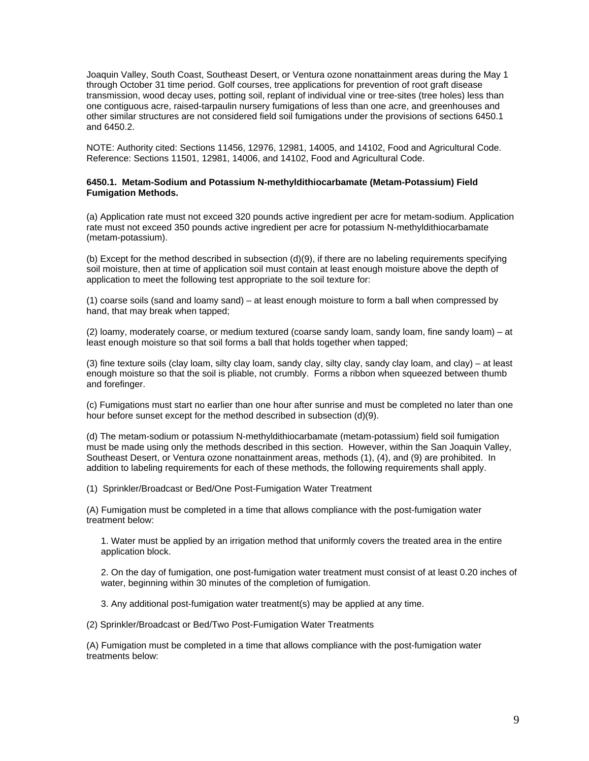Joaquin Valley, South Coast, Southeast Desert, or Ventura ozone nonattainment areas during the May 1 through October 31 time period. Golf courses, tree applications for prevention of root graft disease transmission, wood decay uses, potting soil, replant of individual vine or tree-sites (tree holes) less than one contiguous acre, raised-tarpaulin nursery fumigations of less than one acre, and greenhouses and other similar structures are not considered field soil fumigations under the provisions of sections 6450.1 and 6450.2.

NOTE: Authority cited: Sections 11456, 12976, 12981, 14005, and 14102, Food and Agricultural Code. Reference: Sections 11501, 12981, 14006, and 14102, Food and Agricultural Code.

## **6450.1. Metam-Sodium and Potassium N-methyldithiocarbamate (Metam-Potassium) Field Fumigation Methods.**

(a) Application rate must not exceed 320 pounds active ingredient per acre for metam-sodium. Application rate must not exceed 350 pounds active ingredient per acre for potassium N-methyldithiocarbamate (metam-potassium).

(b) Except for the method described in subsection (d)(9), if there are no labeling requirements specifying soil moisture, then at time of application soil must contain at least enough moisture above the depth of application to meet the following test appropriate to the soil texture for:

(1) coarse soils (sand and loamy sand) – at least enough moisture to form a ball when compressed by hand, that may break when tapped;

(2) loamy, moderately coarse, or medium textured (coarse sandy loam, sandy loam, fine sandy loam) – at least enough moisture so that soil forms a ball that holds together when tapped;

(3) fine texture soils (clay loam, silty clay loam, sandy clay, silty clay, sandy clay loam, and clay) – at least enough moisture so that the soil is pliable, not crumbly. Forms a ribbon when squeezed between thumb and forefinger.

(c) Fumigations must start no earlier than one hour after sunrise and must be completed no later than one hour before sunset except for the method described in subsection (d)(9).

(d) The metam-sodium or potassium N-methyldithiocarbamate (metam-potassium) field soil fumigation must be made using only the methods described in this section. However, within the San Joaquin Valley, Southeast Desert, or Ventura ozone nonattainment areas, methods (1), (4), and (9) are prohibited. In addition to labeling requirements for each of these methods, the following requirements shall apply.

(1) Sprinkler/Broadcast or Bed/One Post-Fumigation Water Treatment

(A) Fumigation must be completed in a time that allows compliance with the post-fumigation water treatment below:

1. Water must be applied by an irrigation method that uniformly covers the treated area in the entire application block.

2. On the day of fumigation, one post-fumigation water treatment must consist of at least 0.20 inches of water, beginning within 30 minutes of the completion of fumigation.

3. Any additional post-fumigation water treatment(s) may be applied at any time.

(2) Sprinkler/Broadcast or Bed/Two Post-Fumigation Water Treatments

(A) Fumigation must be completed in a time that allows compliance with the post-fumigation water treatments below: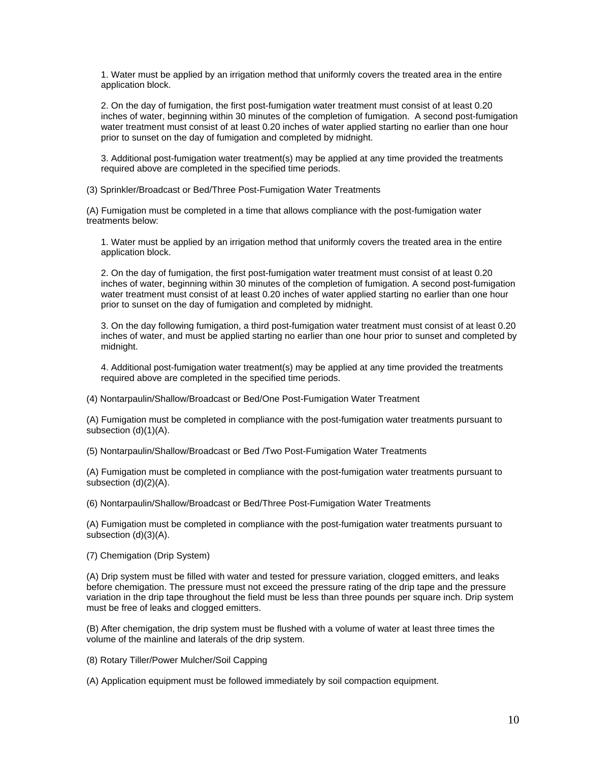1. Water must be applied by an irrigation method that uniformly covers the treated area in the entire application block.

2. On the day of fumigation, the first post-fumigation water treatment must consist of at least 0.20 inches of water, beginning within 30 minutes of the completion of fumigation. A second post-fumigation water treatment must consist of at least 0.20 inches of water applied starting no earlier than one hour prior to sunset on the day of fumigation and completed by midnight.

3. Additional post-fumigation water treatment(s) may be applied at any time provided the treatments required above are completed in the specified time periods.

(3) Sprinkler/Broadcast or Bed/Three Post-Fumigation Water Treatments

(A) Fumigation must be completed in a time that allows compliance with the post-fumigation water treatments below:

1. Water must be applied by an irrigation method that uniformly covers the treated area in the entire application block.

2. On the day of fumigation, the first post-fumigation water treatment must consist of at least 0.20 inches of water, beginning within 30 minutes of the completion of fumigation. A second post-fumigation water treatment must consist of at least 0.20 inches of water applied starting no earlier than one hour prior to sunset on the day of fumigation and completed by midnight.

3. On the day following fumigation, a third post-fumigation water treatment must consist of at least 0.20 inches of water, and must be applied starting no earlier than one hour prior to sunset and completed by midnight.

4. Additional post-fumigation water treatment(s) may be applied at any time provided the treatments required above are completed in the specified time periods.

(4) Nontarpaulin/Shallow/Broadcast or Bed/One Post-Fumigation Water Treatment

(A) Fumigation must be completed in compliance with the post-fumigation water treatments pursuant to subsection (d)(1)(A).

(5) Nontarpaulin/Shallow/Broadcast or Bed /Two Post-Fumigation Water Treatments

(A) Fumigation must be completed in compliance with the post-fumigation water treatments pursuant to subsection (d)(2)(A).

(6) Nontarpaulin/Shallow/Broadcast or Bed/Three Post-Fumigation Water Treatments

(A) Fumigation must be completed in compliance with the post-fumigation water treatments pursuant to subsection (d)(3)(A).

(7) Chemigation (Drip System)

(A) Drip system must be filled with water and tested for pressure variation, clogged emitters, and leaks before chemigation. The pressure must not exceed the pressure rating of the drip tape and the pressure variation in the drip tape throughout the field must be less than three pounds per square inch. Drip system must be free of leaks and clogged emitters.

(B) After chemigation, the drip system must be flushed with a volume of water at least three times the volume of the mainline and laterals of the drip system.

(8) Rotary Tiller/Power Mulcher/Soil Capping

(A) Application equipment must be followed immediately by soil compaction equipment.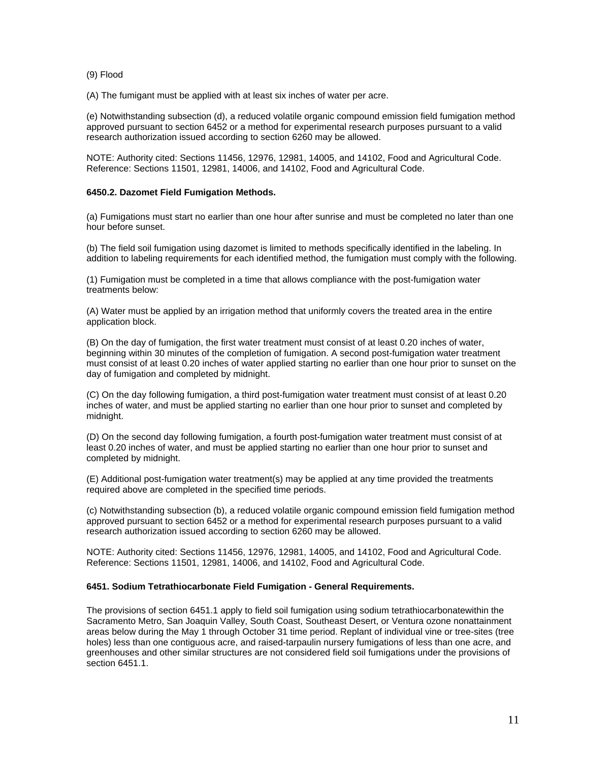## (9) Flood

(A) The fumigant must be applied with at least six inches of water per acre.

(e) Notwithstanding subsection (d), a reduced volatile organic compound emission field fumigation method approved pursuant to section 6452 or a method for experimental research purposes pursuant to a valid research authorization issued according to section 6260 may be allowed.

NOTE: Authority cited: Sections 11456, 12976, 12981, 14005, and 14102, Food and Agricultural Code. Reference: Sections 11501, 12981, 14006, and 14102, Food and Agricultural Code.

## **6450.2. Dazomet Field Fumigation Methods.**

(a) Fumigations must start no earlier than one hour after sunrise and must be completed no later than one hour before sunset.

(b) The field soil fumigation using dazomet is limited to methods specifically identified in the labeling. In addition to labeling requirements for each identified method, the fumigation must comply with the following.

(1) Fumigation must be completed in a time that allows compliance with the post-fumigation water treatments below:

(A) Water must be applied by an irrigation method that uniformly covers the treated area in the entire application block.

(B) On the day of fumigation, the first water treatment must consist of at least 0.20 inches of water, beginning within 30 minutes of the completion of fumigation. A second post-fumigation water treatment must consist of at least 0.20 inches of water applied starting no earlier than one hour prior to sunset on the day of fumigation and completed by midnight.

(C) On the day following fumigation, a third post-fumigation water treatment must consist of at least 0.20 inches of water, and must be applied starting no earlier than one hour prior to sunset and completed by midnight.

(D) On the second day following fumigation, a fourth post-fumigation water treatment must consist of at least 0.20 inches of water, and must be applied starting no earlier than one hour prior to sunset and completed by midnight.

(E) Additional post-fumigation water treatment(s) may be applied at any time provided the treatments required above are completed in the specified time periods.

(c) Notwithstanding subsection (b), a reduced volatile organic compound emission field fumigation method approved pursuant to section 6452 or a method for experimental research purposes pursuant to a valid research authorization issued according to section 6260 may be allowed.

NOTE: Authority cited: Sections 11456, 12976, 12981, 14005, and 14102, Food and Agricultural Code. Reference: Sections 11501, 12981, 14006, and 14102, Food and Agricultural Code.

## **6451. Sodium Tetrathiocarbonate Field Fumigation - General Requirements.**

The provisions of section 6451.1 apply to field soil fumigation using sodium tetrathiocarbonatewithin the Sacramento Metro, San Joaquin Valley, South Coast, Southeast Desert, or Ventura ozone nonattainment areas below during the May 1 through October 31 time period. Replant of individual vine or tree-sites (tree holes) less than one contiguous acre, and raised-tarpaulin nursery fumigations of less than one acre, and greenhouses and other similar structures are not considered field soil fumigations under the provisions of section 6451.1.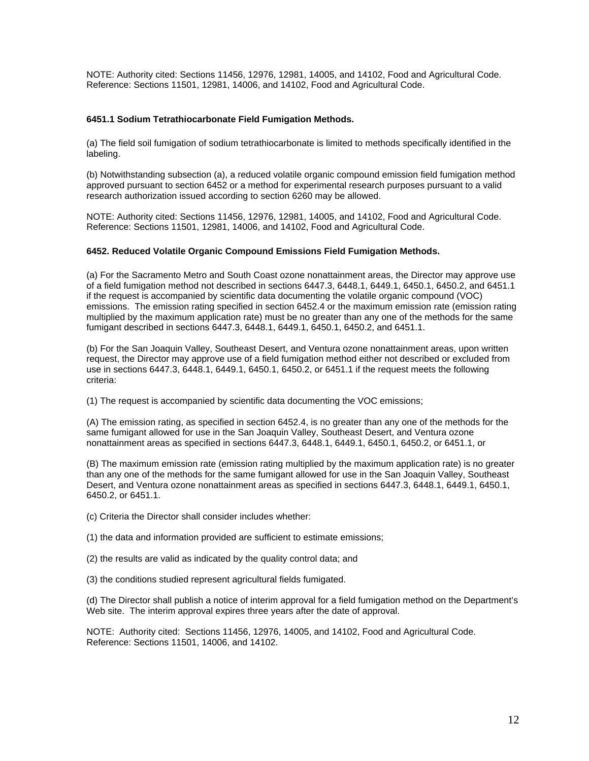NOTE: Authority cited: Sections 11456, 12976, 12981, 14005, and 14102, Food and Agricultural Code. Reference: Sections 11501, 12981, 14006, and 14102, Food and Agricultural Code.

## **6451.1 Sodium Tetrathiocarbonate Field Fumigation Methods.**

(a) The field soil fumigation of sodium tetrathiocarbonate is limited to methods specifically identified in the labeling.

(b) Notwithstanding subsection (a), a reduced volatile organic compound emission field fumigation method approved pursuant to section 6452 or a method for experimental research purposes pursuant to a valid research authorization issued according to section 6260 may be allowed.

NOTE: Authority cited: Sections 11456, 12976, 12981, 14005, and 14102, Food and Agricultural Code. Reference: Sections 11501, 12981, 14006, and 14102, Food and Agricultural Code.

#### **6452. Reduced Volatile Organic Compound Emissions Field Fumigation Methods.**

(a) For the Sacramento Metro and South Coast ozone nonattainment areas, the Director may approve use of a field fumigation method not described in sections 6447.3, 6448.1, 6449.1, 6450.1, 6450.2, and 6451.1 if the request is accompanied by scientific data documenting the volatile organic compound (VOC) emissions. The emission rating specified in section 6452.4 or the maximum emission rate (emission rating multiplied by the maximum application rate) must be no greater than any one of the methods for the same fumigant described in sections 6447.3, 6448.1, 6449.1, 6450.1, 6450.2, and 6451.1.

(b) For the San Joaquin Valley, Southeast Desert, and Ventura ozone nonattainment areas, upon written request, the Director may approve use of a field fumigation method either not described or excluded from use in sections 6447.3, 6448.1, 6449.1, 6450.1, 6450.2, or 6451.1 if the request meets the following criteria:

(1) The request is accompanied by scientific data documenting the VOC emissions;

(A) The emission rating, as specified in section 6452.4, is no greater than any one of the methods for the same fumigant allowed for use in the San Joaquin Valley, Southeast Desert, and Ventura ozone nonattainment areas as specified in sections 6447.3, 6448.1, 6449.1, 6450.1, 6450.2, or 6451.1, or

(B) The maximum emission rate (emission rating multiplied by the maximum application rate) is no greater than any one of the methods for the same fumigant allowed for use in the San Joaquin Valley, Southeast Desert, and Ventura ozone nonattainment areas as specified in sections 6447.3, 6448.1, 6449.1, 6450.1, 6450.2, or 6451.1.

(c) Criteria the Director shall consider includes whether:

(1) the data and information provided are sufficient to estimate emissions;

(2) the results are valid as indicated by the quality control data; and

(3) the conditions studied represent agricultural fields fumigated.

(d) The Director shall publish a notice of interim approval for a field fumigation method on the Department's Web site. The interim approval expires three years after the date of approval.

NOTE: Authority cited: Sections 11456, 12976, 14005, and 14102, Food and Agricultural Code. Reference: Sections 11501, 14006, and 14102.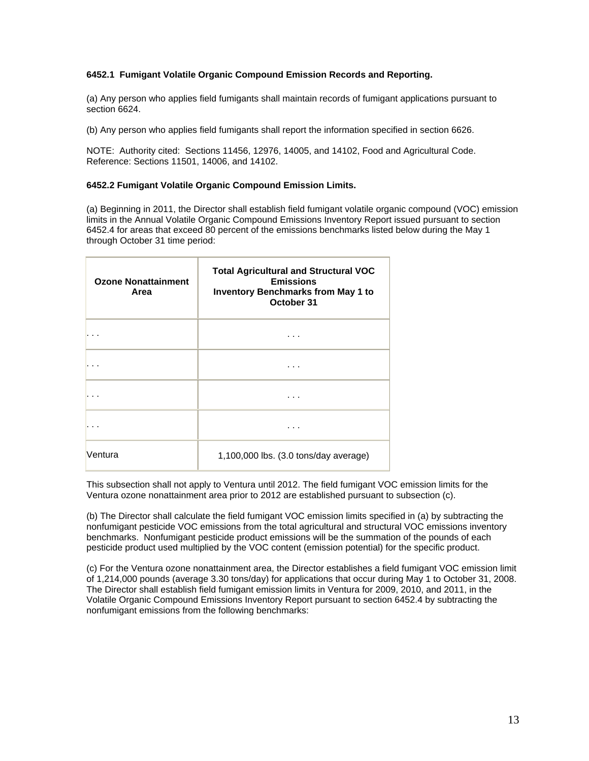## **6452.1 Fumigant Volatile Organic Compound Emission Records and Reporting.**

(a) Any person who applies field fumigants shall maintain records of fumigant applications pursuant to section 6624.

(b) Any person who applies field fumigants shall report the information specified in section 6626.

NOTE: Authority cited: Sections 11456, 12976, 14005, and 14102, Food and Agricultural Code. Reference: Sections 11501, 14006, and 14102.

## **6452.2 Fumigant Volatile Organic Compound Emission Limits.**

(a) Beginning in 2011, the Director shall establish field fumigant volatile organic compound (VOC) emission limits in the Annual Volatile Organic Compound Emissions Inventory Report issued pursuant to section 6452.4 for areas that exceed 80 percent of the emissions benchmarks listed below during the May 1 through October 31 time period:

| <b>Ozone Nonattainment</b><br>Area | <b>Total Agricultural and Structural VOC</b><br><b>Emissions</b><br><b>Inventory Benchmarks from May 1 to</b><br>October 31 |
|------------------------------------|-----------------------------------------------------------------------------------------------------------------------------|
|                                    | .                                                                                                                           |
|                                    | .                                                                                                                           |
|                                    | .                                                                                                                           |
|                                    | .                                                                                                                           |
| Ventura                            | 1,100,000 lbs. (3.0 tons/day average)                                                                                       |

This subsection shall not apply to Ventura until 2012. The field fumigant VOC emission limits for the Ventura ozone nonattainment area prior to 2012 are established pursuant to subsection (c).

(b) The Director shall calculate the field fumigant VOC emission limits specified in (a) by subtracting the nonfumigant pesticide VOC emissions from the total agricultural and structural VOC emissions inventory benchmarks. Nonfumigant pesticide product emissions will be the summation of the pounds of each pesticide product used multiplied by the VOC content (emission potential) for the specific product.

(c) For the Ventura ozone nonattainment area, the Director establishes a field fumigant VOC emission limit of 1,214,000 pounds (average 3.30 tons/day) for applications that occur during May 1 to October 31, 2008. The Director shall establish field fumigant emission limits in Ventura for 2009, 2010, and 2011, in the Volatile Organic Compound Emissions Inventory Report pursuant to section 6452.4 by subtracting the nonfumigant emissions from the following benchmarks: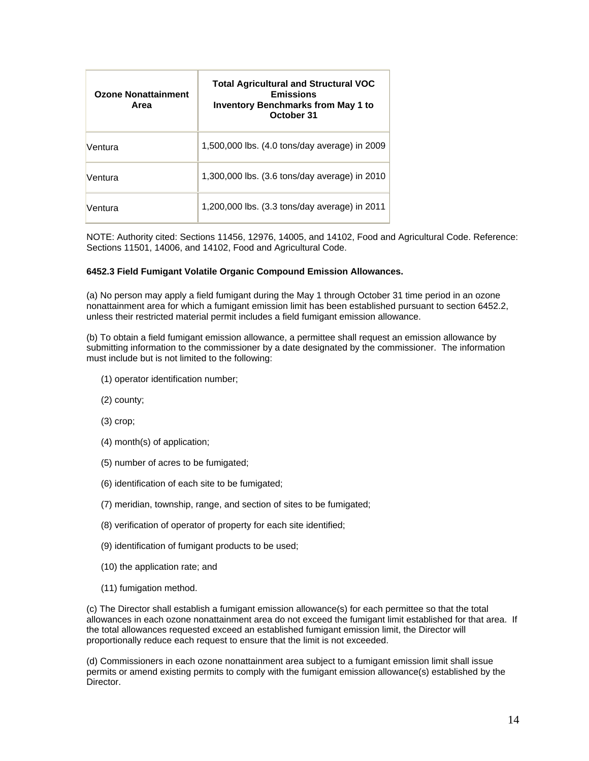| <b>Ozone Nonattainment</b><br>Area | <b>Total Agricultural and Structural VOC</b><br><b>Emissions</b><br><b>Inventory Benchmarks from May 1 to</b><br>October 31 |
|------------------------------------|-----------------------------------------------------------------------------------------------------------------------------|
| Ventura                            | 1,500,000 lbs. (4.0 tons/day average) in 2009                                                                               |
| Ventura                            | 1,300,000 lbs. (3.6 tons/day average) in 2010                                                                               |
| Ventura                            | 1,200,000 lbs. (3.3 tons/day average) in 2011                                                                               |

NOTE: Authority cited: Sections 11456, 12976, 14005, and 14102, Food and Agricultural Code. Reference: Sections 11501, 14006, and 14102, Food and Agricultural Code.

## **6452.3 Field Fumigant Volatile Organic Compound Emission Allowances.**

(a) No person may apply a field fumigant during the May 1 through October 31 time period in an ozone nonattainment area for which a fumigant emission limit has been established pursuant to section 6452.2, unless their restricted material permit includes a field fumigant emission allowance.

(b) To obtain a field fumigant emission allowance, a permittee shall request an emission allowance by submitting information to the commissioner by a date designated by the commissioner. The information must include but is not limited to the following:

- (1) operator identification number;
- (2) county;
- (3) crop;
- (4) month(s) of application;
- (5) number of acres to be fumigated;
- (6) identification of each site to be fumigated;
- (7) meridian, township, range, and section of sites to be fumigated;
- (8) verification of operator of property for each site identified;
- (9) identification of fumigant products to be used;
- (10) the application rate; and
- (11) fumigation method.

(c) The Director shall establish a fumigant emission allowance(s) for each permittee so that the total allowances in each ozone nonattainment area do not exceed the fumigant limit established for that area. If the total allowances requested exceed an established fumigant emission limit, the Director will proportionally reduce each request to ensure that the limit is not exceeded.

(d) Commissioners in each ozone nonattainment area subject to a fumigant emission limit shall issue permits or amend existing permits to comply with the fumigant emission allowance(s) established by the Director.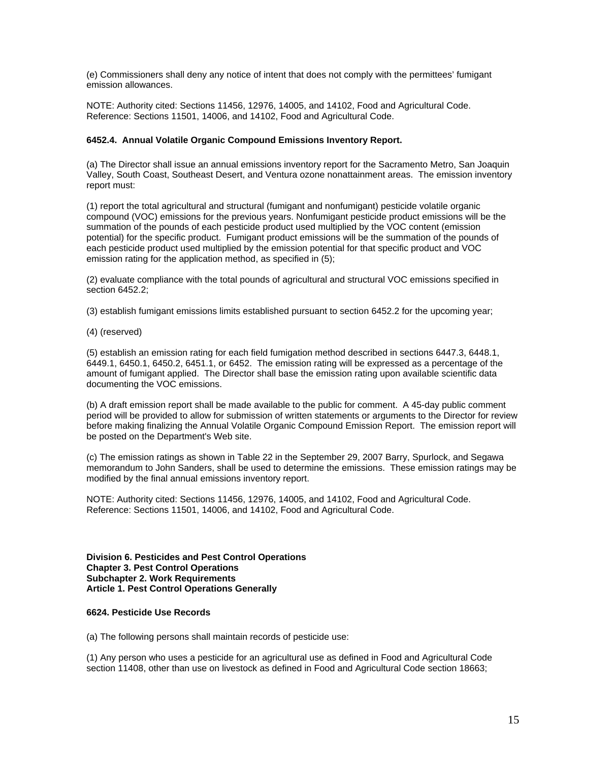(e) Commissioners shall deny any notice of intent that does not comply with the permittees' fumigant emission allowances.

NOTE: Authority cited: Sections 11456, 12976, 14005, and 14102, Food and Agricultural Code. Reference: Sections 11501, 14006, and 14102, Food and Agricultural Code.

## **6452.4. Annual Volatile Organic Compound Emissions Inventory Report.**

(a) The Director shall issue an annual emissions inventory report for the Sacramento Metro, San Joaquin Valley, South Coast, Southeast Desert, and Ventura ozone nonattainment areas. The emission inventory report must:

(1) report the total agricultural and structural (fumigant and nonfumigant) pesticide volatile organic compound (VOC) emissions for the previous years. Nonfumigant pesticide product emissions will be the summation of the pounds of each pesticide product used multiplied by the VOC content (emission potential) for the specific product. Fumigant product emissions will be the summation of the pounds of each pesticide product used multiplied by the emission potential for that specific product and VOC emission rating for the application method, as specified in (5);

(2) evaluate compliance with the total pounds of agricultural and structural VOC emissions specified in section 6452.2;

(3) establish fumigant emissions limits established pursuant to section 6452.2 for the upcoming year;

(4) (reserved)

(5) establish an emission rating for each field fumigation method described in sections 6447.3, 6448.1, 6449.1, 6450.1, 6450.2, 6451.1, or 6452. The emission rating will be expressed as a percentage of the amount of fumigant applied. The Director shall base the emission rating upon available scientific data documenting the VOC emissions.

(b) A draft emission report shall be made available to the public for comment. A 45-day public comment period will be provided to allow for submission of written statements or arguments to the Director for review before making finalizing the Annual Volatile Organic Compound Emission Report. The emission report will be posted on the Department's Web site.

(c) The emission ratings as shown in Table 22 in the September 29, 2007 Barry, Spurlock, and Segawa memorandum to John Sanders, shall be used to determine the emissions. These emission ratings may be modified by the final annual emissions inventory report.

NOTE: Authority cited: Sections 11456, 12976, 14005, and 14102, Food and Agricultural Code. Reference: Sections 11501, 14006, and 14102, Food and Agricultural Code.

**Division 6. Pesticides and Pest Control Operations Chapter 3. Pest Control Operations Subchapter 2. Work Requirements Article 1. Pest Control Operations Generally** 

## **6624. Pesticide Use Records**

(a) The following persons shall maintain records of pesticide use:

(1) Any person who uses a pesticide for an agricultural use as defined in Food and Agricultural Code section 11408, other than use on livestock as defined in Food and Agricultural Code section 18663;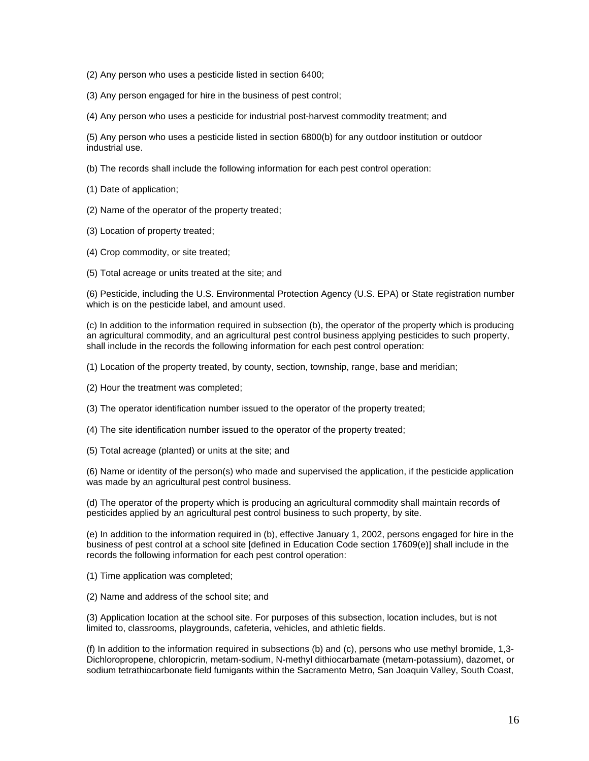- (2) Any person who uses a pesticide listed in section 6400;
- (3) Any person engaged for hire in the business of pest control;
- (4) Any person who uses a pesticide for industrial post-harvest commodity treatment; and

(5) Any person who uses a pesticide listed in section 6800(b) for any outdoor institution or outdoor industrial use.

- (b) The records shall include the following information for each pest control operation:
- (1) Date of application;
- (2) Name of the operator of the property treated;
- (3) Location of property treated;
- (4) Crop commodity, or site treated;
- (5) Total acreage or units treated at the site; and

(6) Pesticide, including the U.S. Environmental Protection Agency (U.S. EPA) or State registration number which is on the pesticide label, and amount used.

(c) In addition to the information required in subsection (b), the operator of the property which is producing an agricultural commodity, and an agricultural pest control business applying pesticides to such property, shall include in the records the following information for each pest control operation:

- (1) Location of the property treated, by county, section, township, range, base and meridian;
- (2) Hour the treatment was completed;
- (3) The operator identification number issued to the operator of the property treated;
- (4) The site identification number issued to the operator of the property treated;
- (5) Total acreage (planted) or units at the site; and

(6) Name or identity of the person(s) who made and supervised the application, if the pesticide application was made by an agricultural pest control business.

(d) The operator of the property which is producing an agricultural commodity shall maintain records of pesticides applied by an agricultural pest control business to such property, by site.

(e) In addition to the information required in (b), effective January 1, 2002, persons engaged for hire in the business of pest control at a school site [defined in Education Code section 17609(e)] shall include in the records the following information for each pest control operation:

- (1) Time application was completed;
- (2) Name and address of the school site; and

(3) Application location at the school site. For purposes of this subsection, location includes, but is not limited to, classrooms, playgrounds, cafeteria, vehicles, and athletic fields.

(f) In addition to the information required in subsections (b) and (c), persons who use methyl bromide, 1,3- Dichloropropene, chloropicrin, metam-sodium, N-methyl dithiocarbamate (metam-potassium), dazomet, or sodium tetrathiocarbonate field fumigants within the Sacramento Metro, San Joaquin Valley, South Coast,